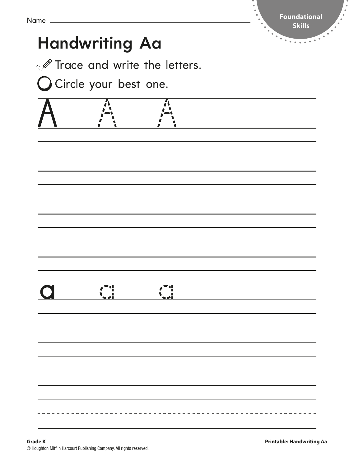|  | <b>SKIIIS</b>                                                                                           |
|--|---------------------------------------------------------------------------------------------------------|
|  |                                                                                                         |
|  |                                                                                                         |
|  |                                                                                                         |
|  |                                                                                                         |
|  |                                                                                                         |
|  |                                                                                                         |
|  |                                                                                                         |
|  |                                                                                                         |
|  |                                                                                                         |
|  |                                                                                                         |
|  |                                                                                                         |
|  | <b>Handwriting Aa</b><br><b><i>I</i></b> Trace and write the letters.<br><b>O</b> Circle your best one. |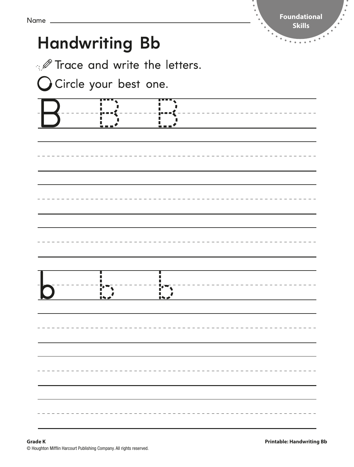| <b>Handwriting Bb</b><br><b>O</b> Circle your best one.<br>$---$ | <b><i>I</i></b> Trace and write the letters. |  |
|------------------------------------------------------------------|----------------------------------------------|--|
|                                                                  |                                              |  |
|                                                                  |                                              |  |
|                                                                  |                                              |  |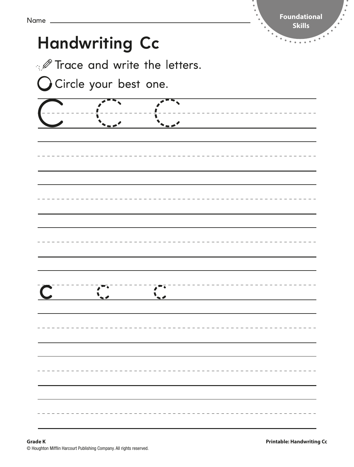| Name     | <b>Handwriting Cc</b>          |                                              | <b>Skills</b><br>$\bullet$<br>$\overline{\cdots}$ |
|----------|--------------------------------|----------------------------------------------|---------------------------------------------------|
|          |                                | <b><i>A</i></b> Trace and write the letters. |                                                   |
|          | <b>O</b> Circle your best one. |                                              |                                                   |
|          |                                |                                              |                                                   |
|          |                                |                                              |                                                   |
|          |                                |                                              |                                                   |
|          |                                |                                              |                                                   |
|          |                                |                                              |                                                   |
|          |                                |                                              |                                                   |
|          |                                |                                              |                                                   |
|          |                                |                                              |                                                   |
|          |                                |                                              |                                                   |
|          |                                |                                              |                                                   |
|          |                                |                                              |                                                   |
|          |                                |                                              | ------------                                      |
| $\Gamma$ | $\frac{1}{2}$                  | $\mathbf{v}_{\mathbf{v}}$                    |                                                   |
|          |                                |                                              |                                                   |
|          |                                |                                              |                                                   |
|          |                                |                                              |                                                   |
|          |                                |                                              |                                                   |
|          |                                |                                              |                                                   |
|          |                                |                                              |                                                   |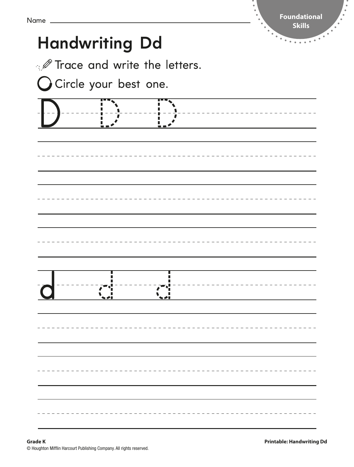|                                                                                | <b>Handwriting Dd</b> |  | <b>Skills</b><br>۰.<br>. |
|--------------------------------------------------------------------------------|-----------------------|--|--------------------------|
| <b><i>A</i></b> Trace and write the letters.<br><b>O</b> Circle your best one. |                       |  |                          |
|                                                                                |                       |  |                          |
|                                                                                |                       |  |                          |
|                                                                                |                       |  |                          |
|                                                                                |                       |  |                          |
|                                                                                |                       |  |                          |
|                                                                                |                       |  | _________________        |
|                                                                                |                       |  |                          |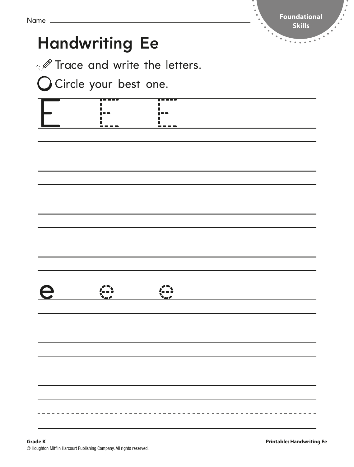| Name      |                                |                                              | Foundational<br><b>Skills</b><br>$\bullet$ |
|-----------|--------------------------------|----------------------------------------------|--------------------------------------------|
|           | <b>Handwriting Ee</b>          |                                              |                                            |
|           |                                | <b><i>A</i></b> Trace and write the letters. |                                            |
|           | <b>O</b> Circle your best one. |                                              |                                            |
|           |                                | - <b>- - -</b>                               | <u>________________</u>                    |
|           |                                | <b>THEFT</b>                                 |                                            |
|           |                                |                                              |                                            |
|           |                                |                                              |                                            |
|           |                                |                                              |                                            |
|           |                                |                                              |                                            |
|           |                                |                                              |                                            |
|           |                                |                                              |                                            |
|           |                                |                                              |                                            |
|           |                                |                                              |                                            |
| $\ominus$ |                                |                                              |                                            |
|           |                                |                                              |                                            |
|           |                                |                                              |                                            |
|           |                                |                                              |                                            |
|           |                                |                                              |                                            |
|           |                                |                                              |                                            |
|           |                                |                                              |                                            |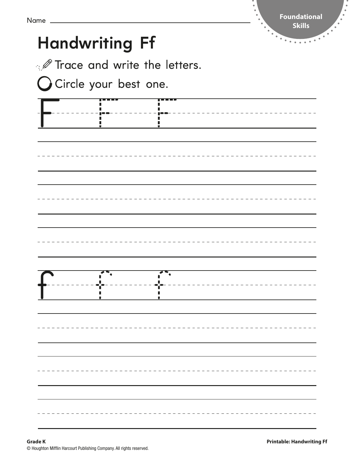| <b>Handwriting Ff</b> |                                              | <b>SKIIIS</b> |
|-----------------------|----------------------------------------------|---------------|
|                       | <b><i>A</i></b> Trace and write the letters. |               |
| Circle your best one. |                                              |               |
|                       |                                              |               |
|                       |                                              |               |
|                       |                                              |               |
|                       |                                              |               |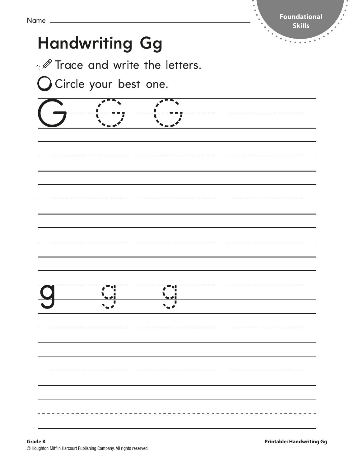| <b>Handwriting Gg</b><br><b>O</b> Circle your best one. | <b><i>A</i></b> Trace and write the letters. | <b>Skills</b> |
|---------------------------------------------------------|----------------------------------------------|---------------|
|                                                         |                                              |               |
|                                                         |                                              |               |
|                                                         |                                              |               |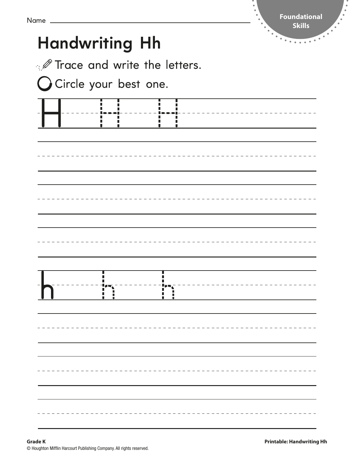| <b>Handwriting Hh</b>                     | <b><i>A</i></b> Trace and write the letters. | <u>SKIIIS</u> |
|-------------------------------------------|----------------------------------------------|---------------|
| Circle your best one.<br>   <br> -<br> -- |                                              |               |
|                                           |                                              |               |
|                                           |                                              |               |
|                                           |                                              |               |
|                                           |                                              |               |
|                                           |                                              |               |
|                                           |                                              |               |
|                                           |                                              |               |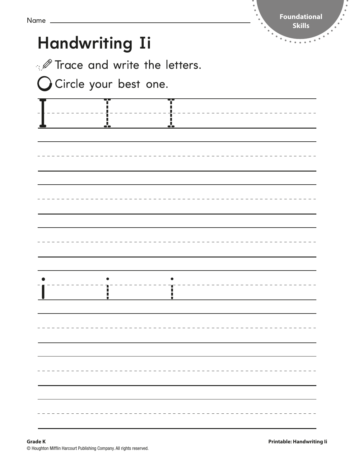| Name _ |                                |                                              | $\bullet$<br>Foundational<br><b>Skills</b> |
|--------|--------------------------------|----------------------------------------------|--------------------------------------------|
|        | <b>Handwriting Ii</b>          |                                              | $\bullet$<br>۰                             |
|        |                                | <b><i>A</i></b> Trace and write the letters. |                                            |
|        | <b>O</b> Circle your best one. |                                              |                                            |
|        | T                              | Ŧ                                            |                                            |
|        |                                |                                              |                                            |
|        | J,                             | <u>J.</u>                                    |                                            |
|        |                                |                                              |                                            |
|        |                                |                                              |                                            |
|        |                                |                                              |                                            |
|        |                                |                                              |                                            |
|        |                                |                                              |                                            |
|        |                                |                                              |                                            |
|        |                                |                                              |                                            |
|        |                                |                                              |                                            |
|        |                                |                                              |                                            |
|        |                                |                                              |                                            |
|        |                                |                                              |                                            |
|        |                                |                                              |                                            |
|        |                                |                                              |                                            |
|        |                                |                                              |                                            |
|        |                                |                                              |                                            |
|        |                                |                                              |                                            |
|        |                                |                                              |                                            |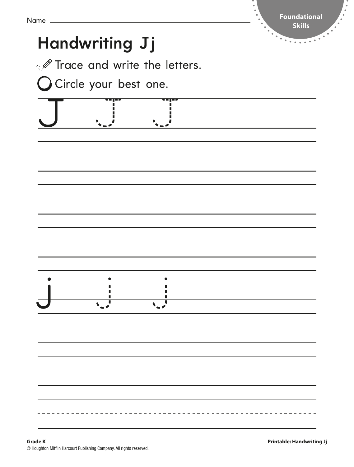| <b>Handwriting Jj</b><br><b><i>A</i></b> Trace and write the letters.<br><b>O</b> Circle your best one. |  |                             | . |
|---------------------------------------------------------------------------------------------------------|--|-----------------------------|---|
|                                                                                                         |  | <u>an ja s</u><br>$\sim -1$ |   |
|                                                                                                         |  |                             |   |
|                                                                                                         |  |                             |   |
|                                                                                                         |  |                             |   |
|                                                                                                         |  |                             |   |
|                                                                                                         |  |                             |   |
|                                                                                                         |  |                             |   |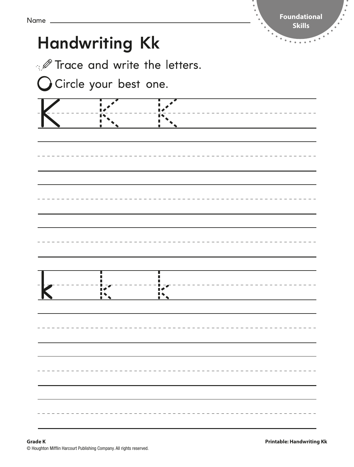$\ddot{\cdot}$ 

Ĩ.

|                                |                                              | <b>Skills</b><br>$\overline{\phantom{a}}_{\phantom{a}a}$ |
|--------------------------------|----------------------------------------------|----------------------------------------------------------|
| <b>Handwriting Kk</b>          |                                              |                                                          |
|                                | <b><i>A</i></b> Trace and write the letters. |                                                          |
| <b>O</b> Circle your best one. |                                              |                                                          |
|                                |                                              |                                                          |
|                                |                                              |                                                          |
|                                |                                              |                                                          |
|                                |                                              |                                                          |
| <u>!'</u>                      | $\mathbf{I}$                                 |                                                          |
|                                |                                              |                                                          |
|                                |                                              |                                                          |
|                                |                                              |                                                          |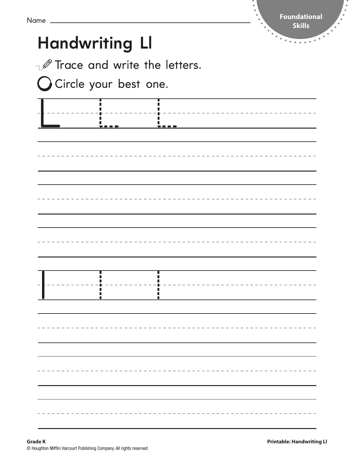| Name                                         | Foundational<br><b>Skills</b> |
|----------------------------------------------|-------------------------------|
| <b>Handwriting LI</b>                        | ٠<br>۰.<br>.                  |
| <b><i>A</i></b> Trace and write the letters. |                               |
| <b>O</b> Circle your best one.               |                               |
|                                              |                               |
| ٠                                            |                               |
| ----                                         |                               |
|                                              |                               |
|                                              |                               |
|                                              |                               |
|                                              |                               |
|                                              |                               |
|                                              |                               |
|                                              |                               |
|                                              |                               |
|                                              |                               |
|                                              |                               |
|                                              |                               |
|                                              |                               |
|                                              |                               |
|                                              |                               |
|                                              |                               |
|                                              |                               |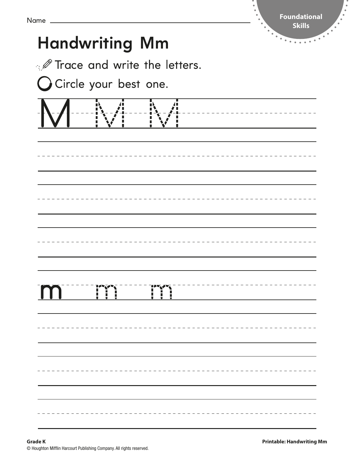|                                |                                              | <b>Skills</b> |
|--------------------------------|----------------------------------------------|---------------|
| <b>Handwriting Mm</b>          |                                              |               |
|                                | <b><i>I</i></b> Trace and write the letters. |               |
| <b>O</b> Circle your best one. |                                              |               |
|                                |                                              |               |
|                                |                                              |               |
|                                |                                              |               |
|                                |                                              |               |
| H.                             | ÷                                            |               |
|                                |                                              |               |
|                                |                                              |               |
|                                |                                              |               |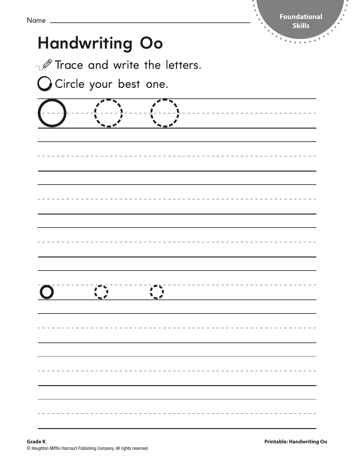|                                              | <b>Skills</b> |
|----------------------------------------------|---------------|
| <b>Handwriting Oo</b>                        |               |
| <b><i>I</i></b> Trace and write the letters. |               |
| O Circle your best one.                      |               |
|                                              |               |
|                                              |               |
|                                              |               |
|                                              |               |
|                                              |               |
|                                              |               |
|                                              |               |
|                                              |               |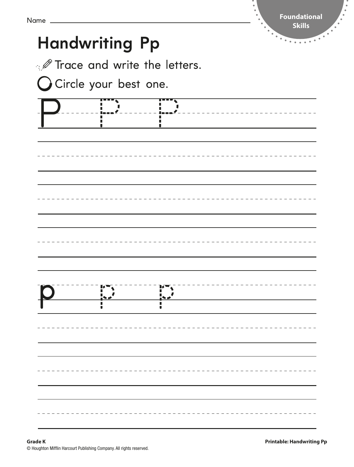| Name | <b>Handwriting Pp</b>                        |                                 | Foundational<br><b>Skills</b><br>۰.<br>. |
|------|----------------------------------------------|---------------------------------|------------------------------------------|
|      |                                              |                                 |                                          |
|      | <b><i>A</i></b> Trace and write the letters. |                                 |                                          |
|      | <b>O</b> Circle your best one.               |                                 |                                          |
|      |                                              | ▁<br>▃▝▃▃▁▁▗▕▅▅▅ <sup>▟</sup> ▃ |                                          |
|      |                                              |                                 |                                          |
|      |                                              |                                 |                                          |
|      |                                              |                                 |                                          |
|      |                                              |                                 |                                          |
|      |                                              |                                 |                                          |
|      |                                              |                                 |                                          |
|      |                                              |                                 |                                          |
|      |                                              |                                 |                                          |
|      |                                              |                                 |                                          |
|      |                                              |                                 |                                          |
|      |                                              |                                 |                                          |
|      |                                              |                                 |                                          |
|      |                                              |                                 |                                          |
|      |                                              |                                 |                                          |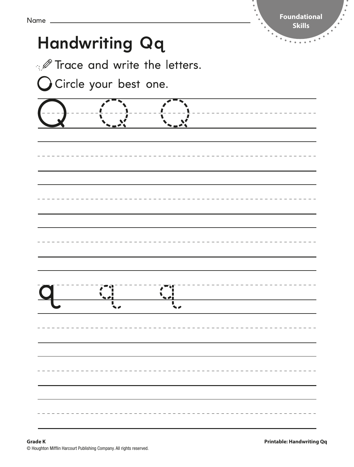$\frac{1}{2}$ 

Ĩ.

|                         |                                              | <b>Skills</b><br>۰                           |
|-------------------------|----------------------------------------------|----------------------------------------------|
| <b>Handwriting Qq</b>   |                                              | $\overline{\phantom{a}}_{\phantom{a}a}$<br>. |
|                         | <b><i>A</i></b> Trace and write the letters. |                                              |
| O Circle your best one. |                                              |                                              |
|                         |                                              |                                              |
|                         |                                              |                                              |
|                         |                                              |                                              |
|                         |                                              |                                              |
|                         |                                              |                                              |
|                         |                                              |                                              |
|                         |                                              |                                              |
|                         |                                              |                                              |
|                         |                                              |                                              |
|                         |                                              |                                              |
|                         |                                              |                                              |
|                         |                                              |                                              |
|                         |                                              |                                              |
|                         |                                              |                                              |
|                         |                                              |                                              |
|                         |                                              |                                              |
|                         |                                              |                                              |
|                         |                                              |                                              |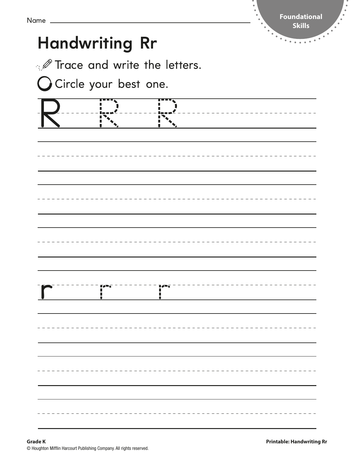|                                              | Foundational<br><b>Skills</b> |
|----------------------------------------------|-------------------------------|
| <b>Handwriting Rr</b>                        | ۰.<br>.                       |
| <b><i>A</i></b> Trace and write the letters. |                               |
| <b>O</b> Circle your best one.               |                               |
|                                              |                               |
| $- - - - -$                                  |                               |
|                                              |                               |
|                                              |                               |
|                                              |                               |
|                                              |                               |
|                                              |                               |
|                                              |                               |
|                                              |                               |
|                                              |                               |
|                                              |                               |
|                                              |                               |
| H                                            |                               |
|                                              |                               |
|                                              |                               |
|                                              |                               |
|                                              |                               |
|                                              |                               |
|                                              |                               |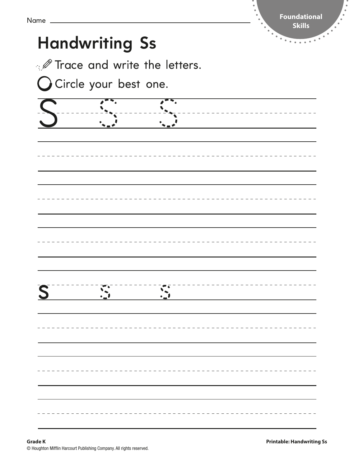|             |                                |                                              | экшэ                       |
|-------------|--------------------------------|----------------------------------------------|----------------------------|
|             | <b>Handwriting Ss</b>          |                                              |                            |
|             |                                | <b><i>I</i></b> Trace and write the letters. |                            |
|             | <b>O</b> Circle your best one. |                                              |                            |
| $\mathbf C$ |                                |                                              |                            |
|             |                                |                                              | -------------------------- |
|             |                                |                                              |                            |
|             |                                |                                              |                            |
|             |                                |                                              |                            |
|             |                                |                                              |                            |
|             |                                |                                              |                            |
|             |                                |                                              |                            |
|             |                                |                                              |                            |
|             |                                |                                              |                            |
|             |                                |                                              |                            |
|             |                                |                                              |                            |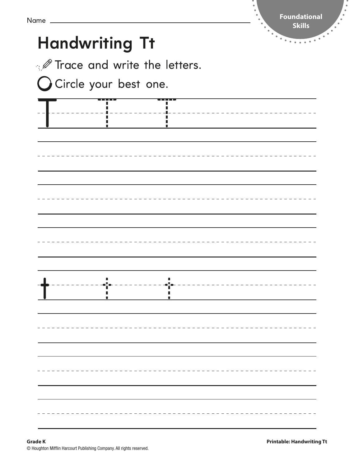|                                                                                | <b>Handwriting Tt</b> |           |                                     |
|--------------------------------------------------------------------------------|-----------------------|-----------|-------------------------------------|
| <b><i>A</i></b> Trace and write the letters.<br><b>O</b> Circle your best one. |                       |           |                                     |
|                                                                                | <u>ann ne</u>         | a n n n d |                                     |
|                                                                                |                       |           |                                     |
|                                                                                |                       |           |                                     |
|                                                                                |                       |           |                                     |
|                                                                                |                       |           | <u> 2 2 2 2 2 2 2 2 2 2 2 2 2 2</u> |
|                                                                                |                       |           |                                     |
|                                                                                |                       |           |                                     |
|                                                                                |                       |           |                                     |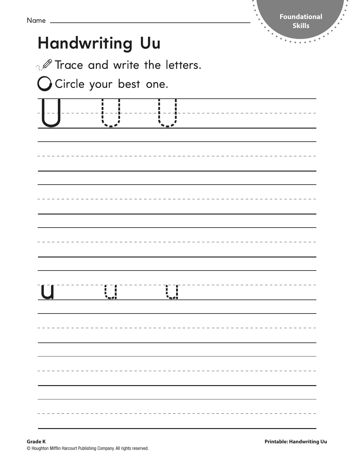| Name |                                              |                     | Foundational<br><b>Skills</b> |
|------|----------------------------------------------|---------------------|-------------------------------|
|      | <b>Handwriting Uu</b>                        |                     | ۰.<br>.                       |
|      | <b><i>A</i></b> Trace and write the letters. |                     |                               |
|      | <b>O</b> Circle your best one.               |                     |                               |
|      | <br>  -<br>  ---  --------                   |                     |                               |
|      |                                              |                     |                               |
|      |                                              |                     |                               |
|      |                                              |                     |                               |
|      |                                              |                     |                               |
|      |                                              |                     |                               |
|      |                                              |                     |                               |
|      | j.<br>п                                      | a a<br>п<br>в.<br>п |                               |
|      |                                              |                     |                               |
|      |                                              |                     |                               |
|      |                                              |                     |                               |
|      |                                              |                     |                               |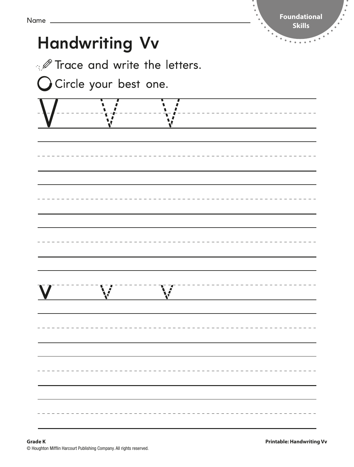| <b>Handwriting Vv</b> |                                              |  |
|-----------------------|----------------------------------------------|--|
|                       | <b><i>I</i></b> Trace and write the letters. |  |
| Circle your best one. |                                              |  |
|                       |                                              |  |
|                       |                                              |  |
|                       |                                              |  |
|                       |                                              |  |
|                       |                                              |  |
|                       |                                              |  |
|                       |                                              |  |
|                       |                                              |  |
|                       |                                              |  |
|                       |                                              |  |
|                       |                                              |  |
|                       |                                              |  |
|                       |                                              |  |
|                       |                                              |  |
|                       |                                              |  |
|                       |                                              |  |
|                       |                                              |  |
|                       |                                              |  |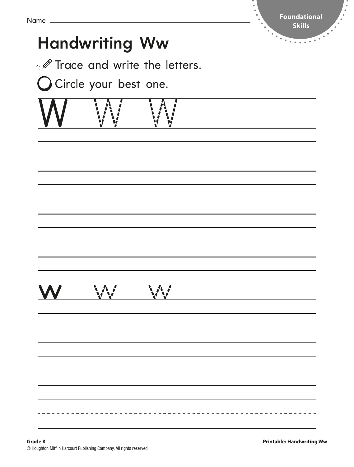| <b>Handwriting Ww</b>                        | <b>Skills</b><br>۰<br>$\bullet$<br>$\bullet$ |
|----------------------------------------------|----------------------------------------------|
| <b><i>A</i></b> Trace and write the letters. |                                              |
| <b>O</b> Circle your best one.               |                                              |
|                                              |                                              |
|                                              |                                              |
|                                              |                                              |
|                                              |                                              |
|                                              |                                              |
|                                              |                                              |
|                                              |                                              |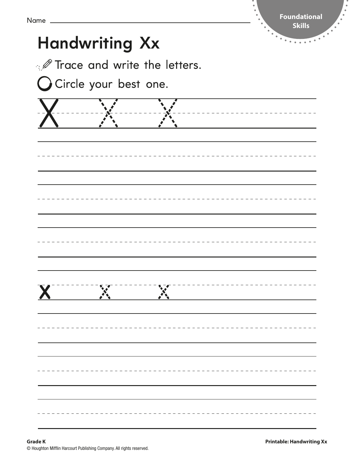| <b>SKIIIS</b> |
|---------------|
|               |
|               |
|               |
|               |
|               |
|               |
|               |
|               |
|               |
|               |
|               |
|               |
|               |
|               |
|               |
|               |
|               |
|               |
|               |
|               |
|               |
|               |
|               |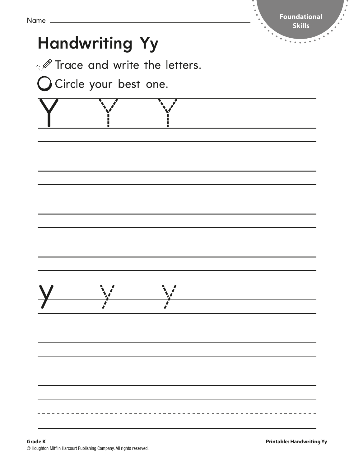| ٠<br>Foundational<br><b>Skills</b> |
|------------------------------------|
| ۰.<br>.                            |
|                                    |
|                                    |
|                                    |
|                                    |
|                                    |
|                                    |
|                                    |
|                                    |
|                                    |
|                                    |
|                                    |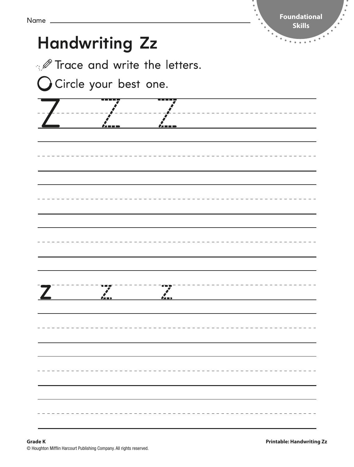| <b>Handwriting Zz</b>   |                                              |  |
|-------------------------|----------------------------------------------|--|
|                         | <b><i>I</i></b> Trace and write the letters. |  |
| O Circle your best one. |                                              |  |
|                         |                                              |  |
|                         |                                              |  |
|                         |                                              |  |
|                         |                                              |  |
|                         |                                              |  |
|                         |                                              |  |
|                         |                                              |  |
|                         |                                              |  |
|                         |                                              |  |
|                         |                                              |  |
|                         |                                              |  |
|                         |                                              |  |
|                         |                                              |  |
|                         |                                              |  |
| $\sum_{i=1}^{n}$        | <u><i>Ca</i> = 1</u>                         |  |
|                         |                                              |  |
|                         |                                              |  |
|                         |                                              |  |
|                         |                                              |  |
|                         |                                              |  |
|                         |                                              |  |
|                         |                                              |  |
|                         |                                              |  |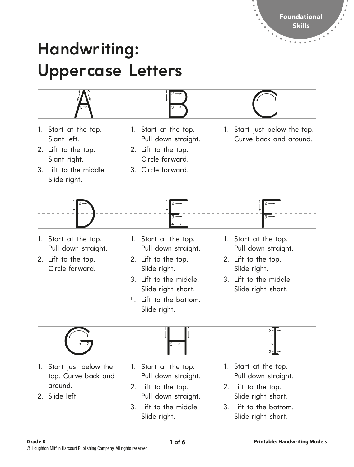#### **Handwriting: Uppercase Letters**

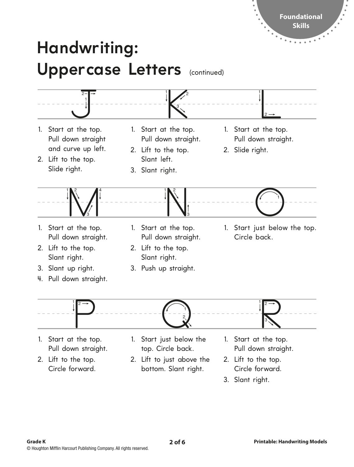$\mathbf{A}$ 

# **Handwriting:**  Uppercase Letters (continued)

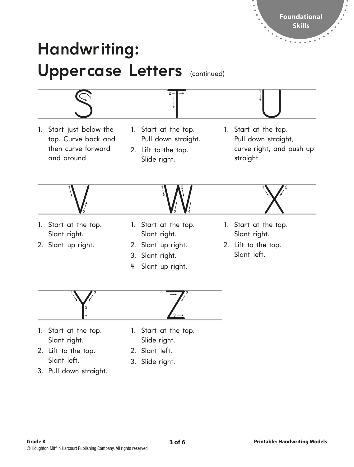$\alpha$  ,  $\alpha$  ,  $\theta$ 

# **Handwriting: Uppercase Letters** (continued)

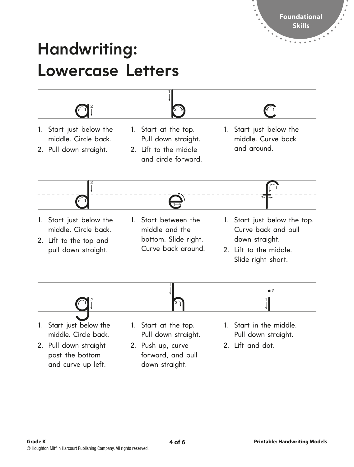# **Handwriting: Lowercase Letters**

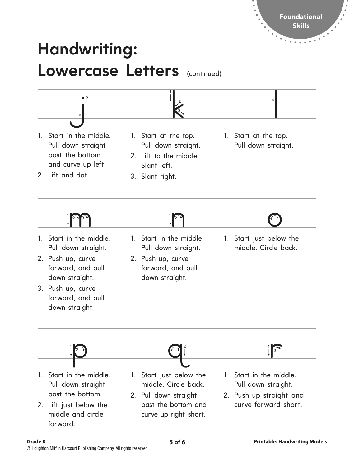$\sim$ 

## **Handwriting:**  Lowercase Letters (continued)

1. Start in the middle. Pull down straight past the bottom and curve up left. 2. Lift and dot. 1. Start at the top. Pull down straight. 2. Lift to the middle. Slant left. 3. Slant right. 1. Start at the top. Pull down straight. 1. Start in the middle. Pull down straight. 2. Push up, curve forward, and pull down straight. 3. Push up, curve 1. Start in the middle. Pull down straight. 2. Push up, curve forward, and pull down straight. 1. Start just below the middle. Circle back.  $\frac{1}{\sqrt{\frac{2}{\sqrt{3}}}}$  $\begin{array}{|c|c|c|}\n\hline \end{array}$  in the middle  $\begin{array}{|c|c|}\n\hline \end{array}$  . Start in the middle  $\begin{array}{|c|c|}\n\hline \end{array}$  . Start iust below

1. Start in the middle. Pull down straight past the bottom. 2. Lift just below the middle and circle 1. Start just below the middle. Circle back. 2. Pull down straight past the bottom and curve up right short. 1. Start in the middle. Pull down straight. 2. Push up straight and curve forward short.  $p$  and  $p$  if

forward.

forward, and pull down straight.